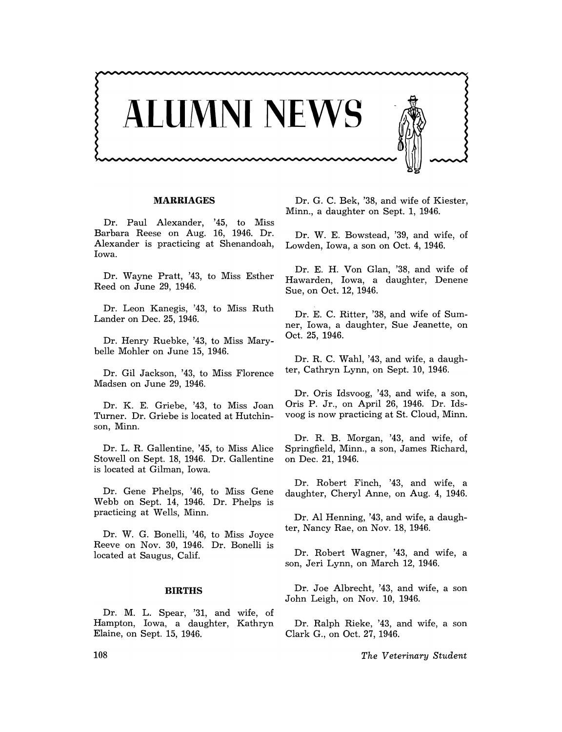

## **MARRIAGES**

Dr. Paul Alexander, '45, to Miss Barbara Reese on Aug. 16, 1946. Dr. Alexander is practicing at Shenandoah, Iowa.

Dr. Wayne Pratt, '43, to Miss Esther Reed on June 29, 1946.

Dr. Leon Kanegis, '43, to Miss Ruth Lander on Dec. 25, 1946.

Dr. Henry Ruebke, '43, to Miss Marybelle Mohler on June 15, 1946.

Dr. Gil Jackson, '43, to Miss Florence Madsen on June 29, 1946.

Dr. K. E. Griebe, '43, to Miss Joan Turner. Dr. Griebe is located at Hutchinson, Minn.

Dr. L. R. Gallentine, '45, to Miss Alice Stowell on Sept. 18, 1946. Dr. Gallentine is located at Gilman, Iowa.

Dr. Gene Phelps, '46, to Miss Gene Webb on Sept. 14, 1946. Dr. Phelps is practicing at Wells, Minn.

Dr. W. G. Bonelli, '46, to Miss Joyce Reeve on Nov. 30, 1946. Dr. Bonelli is located at Saugus, Calif.

## **BIRTHS**

Dr. M. L. Spear, '31, and wife, of Hampton, Iowa, a daughter, Kathryn Elaine, on Sept. 15, 1946.

Dr. G. C. Bek, '38, and wife of Kiester, Minn., a daughter on Sept. 1, 1946.

Dr. W. E. Bowstead, '39, and wife, of Lowden, Iowa, a son on Oct. 4, 1946.

Dr. E. H. Von Glan, '38, and wife of Hawarden, Iowa, a daughter, Denene Sue, on Oct. 12, 1946.

Dr. E. C. Ritter, '38, and wife of Sumner, Iowa, a daughter, Sue Jeanette, on Oct. 25, 1946.

Dr. R. C. Wahl, '43, and wife, a daughter, Cathryn Lynn, on Sept. 10, 1946.

Dr. Oris Idsvoog, '43, and wife, a son, Oris P. Jr., on April 26, 1946. Dr. Idsvoog is now practicing at St. Cloud, Minn.

Dr. R. B. Morgan, '43, and wife, of Springfield, Minn., a son, James Richard, on Dec. 21, 1946.

Dr. Robert Finch, '43, and wife, a daughter, Cheryl Anne, on Aug. 4, 1946.

Dr. Al Henning, '43, and wife, a daughter, Nancy Rae, on Nov. 18, 1946.

Dr. Robert Wagner, '43, and wife, a son, Jeri Lynn, on March 12, 1946.

Dr. Joe Albrecht, '43, and wife, a son John Leigh, on Nov. 10, 1946.

Dr. Ralph Rieke, '43, and wife, a son Clark G., on Oct. 27, 1946.

*The Veterinary Student* 

108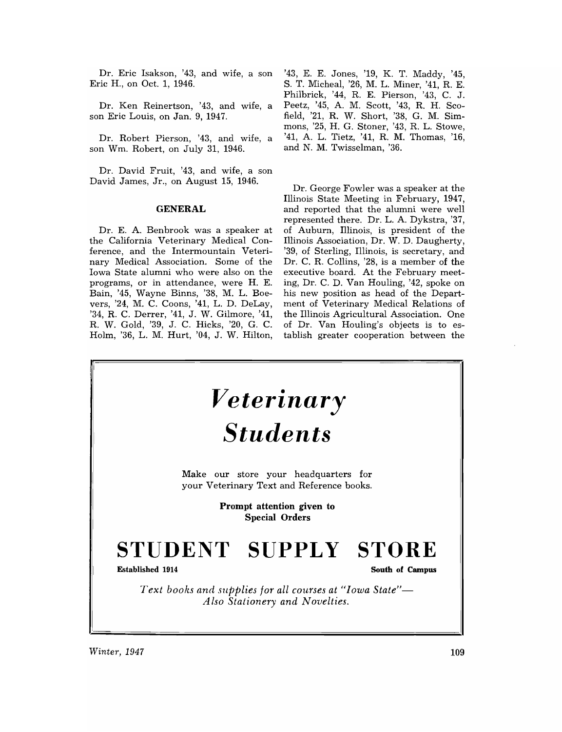Dr. Eric Isakson, '43, and wife, a son Eric H., on Oct. 1, 1946.

Dr. Ken Reinertson, '43, and wife, a son Eric Louis, on Jan. 9, 1947.

Dr. Robert Pierson, '43, and wife, a son Wm. Robert, on July 31, 1946.

Dr. David Fruit, '43, and wife, a son David James, Jr., on August 15, 1946.

## **GENERAL**

Dr. E. A. Benbrook was a speaker at the California Veterinary Medical Conference, and the Intermountain Veterinary Medical Association. Some of the Iowa State alumni who were also on the programs, or in attendance, were H. E. Bain, '45, Wayne Binns, '38, M. L. Boevers, '24, M. C. Coons, '41, L. D. DeLay, '34, R. C. Derrer, '41, J. W. Gilmore, '41, R. W. Gold, '39, J. C. Hicks, '20, G. C. Holm, '36, L. M. Hurt, '04, J. W. Hilton,

'43, E. E. Jones, '19, K. T. Maddy, '45, S. T. Micheal, '26, M. L. Miner, '41, R. E. Philbrick, '44, R. E. Pierson, '43, C. J. Peetz, '45, A. M. Scott, '43, R. H. Scofield, '21, R. W. Short, '38, G. M. Simmons, '25, H. G. Stoner, '43, R. L. Stowe, '41, A. L. Tietz, '41, R. M. Thomas, '16, and N. M. Twisselman, '36.

Dr. George Fowler was a speaker at the Illinois State Meeting in February, 1947, and reported that the alumni were well represented there. Dr. L. A. Dykstra, '37, of Auburn, Illinois, is president of the Illinois Association, Dr. W. D. Daugherty, '39, of Sterling, Illinois, is secretary, and Dr. C. R. Collins, '28, is a member of the executive board. At the February meeting, Dr. C. D. Van Houling, '42, spoke on his new position as head of the Department of Veterinary Medical Relations of the Illinois Agricultural Association. One of Dr. Van Houling's objects is to establish greater cooperation between the



*Winter, 1947* 109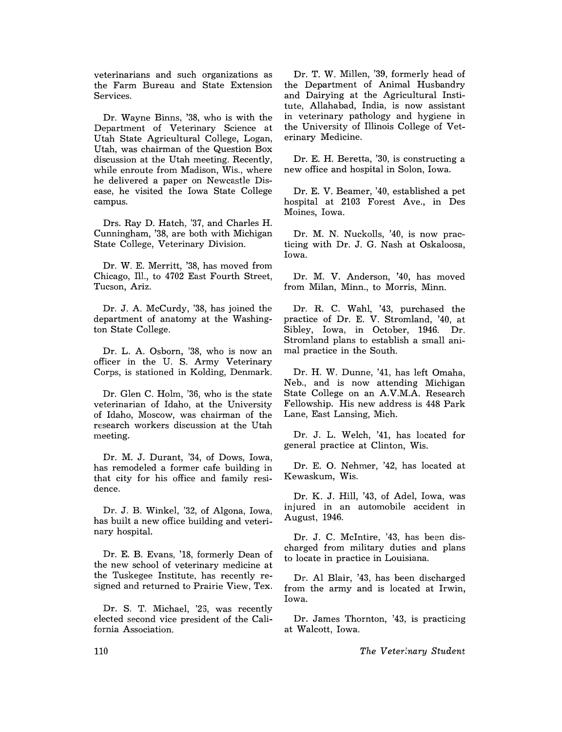veterinarians and such organizations as the Farm Bureau and State Extension Services.

Dr. Wayne Binns, '38, who is with the Department of Veterinary Science at Utah State Agricultural College, Logan, Utah, was chairman of the Question Box discussion at the Utah meeting. Recently, while enroute from Madison, Wis., where he delivered a paper on Newcastle Disease, he visited the Iowa State College campus.

Drs. Ray D. Hatch, '37, and Charles H. Cunningham, '38, are both with Michigan State College, Veterinary Division.

Dr. W. E. Merritt, '38, has moved from Chicago, Ill., to 4702 East Fourth Street, Tucson, Ariz.

Dr. J. A. McCurdy, '38, has joined the department of anatomy at the Washington State College.

Dr. L. A. Osborn, '38, who is now an officer in the U. S. Army Veterinary Corps, is stationed in Kolding, Denmark.

Dr. Glen C. Holm, '36, who is the state veterinarian of Idaho, at the University of Idaho, Moscow, was chairman of the research workers discussion at the Utah meeting.

Dr. M. J. Durant, '34, of Dows, Iowa, has remodeled a former cafe building in that city for his office and family residence.

Dr. J. B. Winkel, '32, of Algona, Iowa, has built a new office building and veterinary hospital.

Dr. E. B. Evans, '18, formerly Dean of the new school of veterinary medicine at the Tuskegee Institute, has recently resigned and returned to Prairie View, Tex.

Dr. S. T. Michael, '25, was recently elected second vice president of the California Association.

Dr. T. W. Millen, '39, formerly head of the Department of Animal Husbandry and Dairying at the Agricultural Institute, Allahabad, India, is now assistant in veterinary pathology and hygiene in the University of Illinois College of Veterinary Medicine.

Dr. E. H. Beretta, '30, is constructing a new office and hospital in Solon, Iowa.

Dr. E. V. Beamer, '40, established a pet hospital at 2103 Forest Ave., in Des Moines, Iowa.

Dr. M. N. Nuckolls, '40, is now practicing with Dr. J. G. Nash at Oskaloosa, Iowa.

Dr. M. V. Anderson, '40, has moved from Milan, Minn., to Morris, Minn.

Dr. R. C. Wahl, '43, purchased the practice of Dr. E. V. Stromland, '40, at Sibley, Iowa, in October, 1946. Dr. Stromland plans to establish a small animal practice in the South.

Dr. H. W. Dunne, '41, has left Omaha, Neb., and is now attending Michigan State College on an A.V.M.A. Research Fellowship. His new address is 448 Park Lane, East Lansing, Mich.

Dr. J. L. Welch, '41, has located for general practice at Clinton, Wis.

Dr. E. O. Nehmer, '42, has located at Kewaskum, Wis.

Dr. K. J. Hill, '43, of Adel, Iowa, was injured in an automobile accident in August, 1946.

Dr. J. C. McIntire, '43, has been discharged from military duties and plans to locate in practice in Louisiana.

Dr. Al Blair, '43, has been discharged from the army and is located at Irwin, Iowa.

Dr. James Thornton, '43, is practicing at Walcott, Iowa.

*The Veterinary Student*